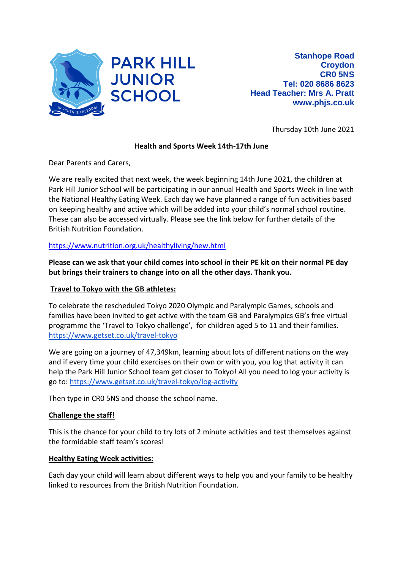

Thursday 10th June 2021

# **Health and Sports Week 14th-17th June**

Dear Parents and Carers,

We are really excited that next week, the week beginning 14th June 2021, the children at Park Hill Junior School will be participating in our annual Health and Sports Week in line with the National Healthy Eating Week. Each day we have planned a range of fun activities based on keeping healthy and active which will be added into your child's normal school routine. These can also be accessed virtually. Please see the link below for further details of the British Nutrition Foundation.

## <https://www.nutrition.org.uk/healthyliving/hew.html>

**Please can we ask that your child comes into school in their PE kit on their normal PE day but brings their trainers to change into on all the other days. Thank you.**

### **Travel to Tokyo with the GB athletes:**

To celebrate the rescheduled Tokyo 2020 Olympic and Paralympic Games, schools and families have been invited to get active with the team GB and Paralympics GB's free virtual programme the 'Travel to Tokyo challenge', for children aged 5 to 11 and their families. <https://www.getset.co.uk/travel-tokyo>

We are going on a journey of 47,349km, learning about lots of different nations on the way and if every time your child exercises on their own or with you, you log that activity it can help the Park Hill Junior School team get closer to Tokyo! All you need to log your activity is go to:<https://www.getset.co.uk/travel-tokyo/log-activity>

Then type in CR0 5NS and choose the school name.

## **Challenge the staff!**

This is the chance for your child to try lots of 2 minute activities and test themselves against the formidable staff team's scores!

#### **Healthy Eating Week activities:**

Each day your child will learn about different ways to help you and your family to be healthy linked to resources from the British Nutrition Foundation.